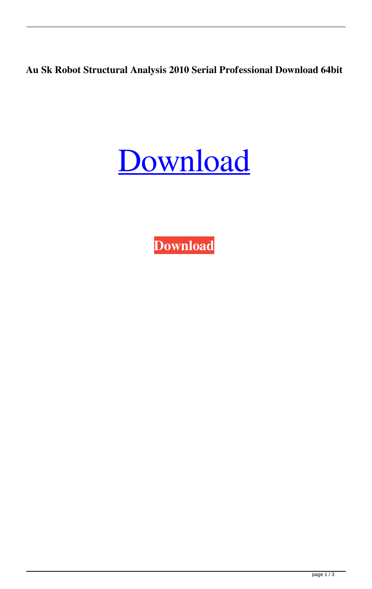**Au Sk Robot Structural Analysis 2010 Serial Professional Download 64bit**

## [Download](http://evacdir.com/lipoprotien.ZG93bmxvYWR8dVE3TVRVeVpIeDhNVFkxTWpjME1EZzJObng4TWpVM05IeDhLRTBwSUhKbFlXUXRZbXh2WnlCYlJtRnpkQ0JIUlU1ZA?retests=arass.depilation/spinoff/YXV0b2Rlc2sgcm9ib3Qgc3RydWN0dXJhbCBhbmFseXNpcyAyMDEwIGtleWdlbgYXV)

**[Download](http://evacdir.com/lipoprotien.ZG93bmxvYWR8dVE3TVRVeVpIeDhNVFkxTWpjME1EZzJObng4TWpVM05IeDhLRTBwSUhKbFlXUXRZbXh2WnlCYlJtRnpkQ0JIUlU1ZA?retests=arass.depilation/spinoff/YXV0b2Rlc2sgcm9ib3Qgc3RydWN0dXJhbCBhbmFseXNpcyAyMDEwIGtleWdlbgYXV)**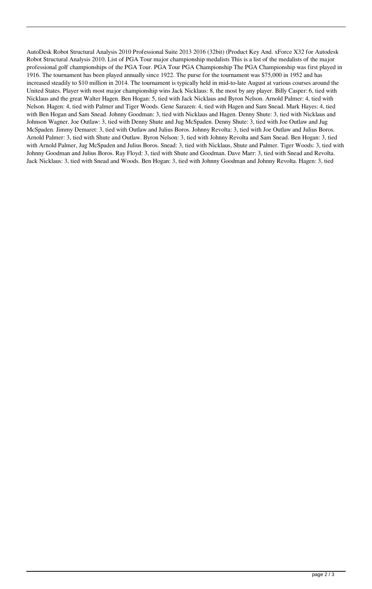AutoDesk Robot Structural Analysis 2010 Professional Suite 2013 2016 (32bit) (Product Key And. xForce X32 for Autodesk Robot Structural Analysis 2010. List of PGA Tour major championship medalists This is a list of the medalists of the major professional golf championships of the PGA Tour. PGA Tour PGA Championship The PGA Championship was first played in 1916. The tournament has been played annually since 1922. The purse for the tournament was \$75,000 in 1952 and has increased steadily to \$10 million in 2014. The tournament is typically held in mid-to-late August at various courses around the United States. Player with most major championship wins Jack Nicklaus: 8, the most by any player. Billy Casper: 6, tied with Nicklaus and the great Walter Hagen. Ben Hogan: 5, tied with Jack Nicklaus and Byron Nelson. Arnold Palmer: 4, tied with Nelson. Hagen: 4, tied with Palmer and Tiger Woods. Gene Sarazen: 4, tied with Hagen and Sam Snead. Mark Hayes: 4, tied with Ben Hogan and Sam Snead. Johnny Goodman: 3, tied with Nicklaus and Hagen. Denny Shute: 3, tied with Nicklaus and Johnson Wagner. Joe Outlaw: 3, tied with Denny Shute and Jug McSpaden. Denny Shute: 3, tied with Joe Outlaw and Jug McSpaden. Jimmy Demaret: 3, tied with Outlaw and Julius Boros. Johnny Revolta: 3, tied with Joe Outlaw and Julius Boros. Arnold Palmer: 3, tied with Shute and Outlaw. Byron Nelson: 3, tied with Johnny Revolta and Sam Snead. Ben Hogan: 3, tied with Arnold Palmer, Jug McSpaden and Julius Boros. Snead: 3, tied with Nicklaus, Shute and Palmer. Tiger Woods: 3, tied with Johnny Goodman and Julius Boros. Ray Floyd: 3, tied with Shute and Goodman. Dave Marr: 3, tied with Snead and Revolta. Jack Nicklaus: 3, tied with Snead and Woods. Ben Hogan: 3, tied with Johnny Goodman and Johnny Revolta. Hagen: 3, tied